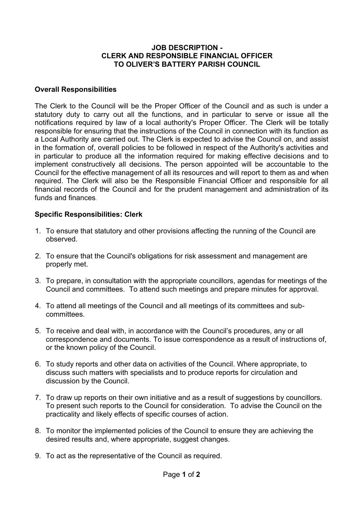## **JOB DESCRIPTION - CLERK AND RESPONSIBLE FINANCIAL OFFICER TO OLIVER'S BATTERY PARISH COUNCIL**

## **Overall Responsibilities**

The Clerk to the Council will be the Proper Officer of the Council and as such is under a statutory duty to carry out all the functions, and in particular to serve or issue all the notifications required by law of a local authority's Proper Officer. The Clerk will be totally responsible for ensuring that the instructions of the Council in connection with its function as a Local Authority are carried out. The Clerk is expected to advise the Council on, and assist in the formation of, overall policies to be followed in respect of the Authority's activities and in particular to produce all the information required for making effective decisions and to implement constructively all decisions. The person appointed will be accountable to the Council for the effective management of all its resources and will report to them as and when required. The Clerk will also be the Responsible Financial Officer and responsible for all financial records of the Council and for the prudent management and administration of its funds and finances.

## **Specific Responsibilities: Clerk**

- 1. To ensure that statutory and other provisions affecting the running of the Council are observed.
- 2. To ensure that the Council's obligations for risk assessment and management are properly met.
- 3. To prepare, in consultation with the appropriate councillors, agendas for meetings of the Council and committees. To attend such meetings and prepare minutes for approval.
- 4. To attend all meetings of the Council and all meetings of its committees and subcommittees.
- 5. To receive and deal with, in accordance with the Council's procedures, any or all correspondence and documents. To issue correspondence as a result of instructions of, or the known policy of the Council.
- 6. To study reports and other data on activities of the Council. Where appropriate, to discuss such matters with specialists and to produce reports for circulation and discussion by the Council.
- 7. To draw up reports on their own initiative and as a result of suggestions by councillors. To present such reports to the Council for consideration. To advise the Council on the practicality and likely effects of specific courses of action.
- 8. To monitor the implemented policies of the Council to ensure they are achieving the desired results and, where appropriate, suggest changes.
- 9. To act as the representative of the Council as required.